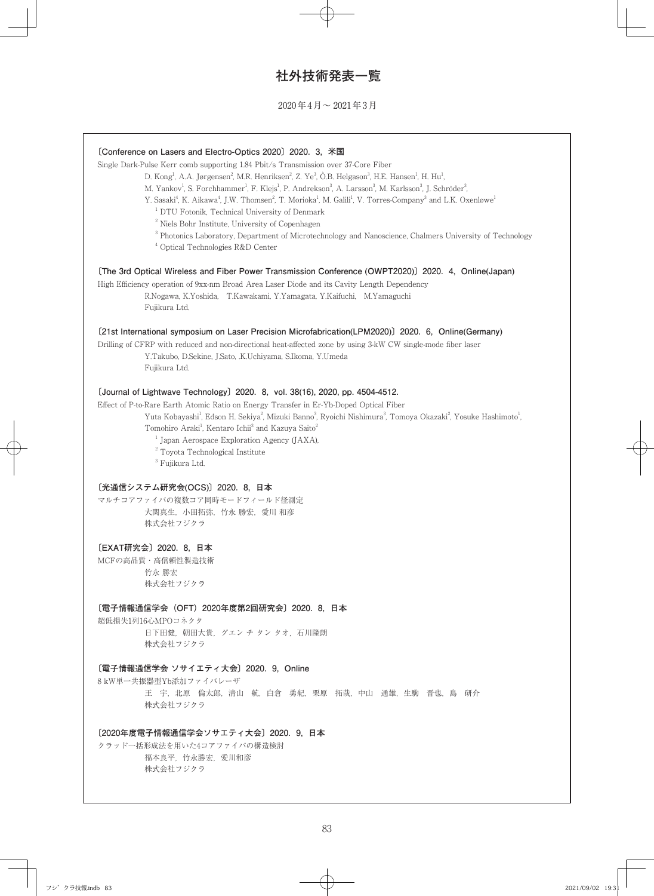# **社外技術発表一覧**

2020年4月~ 2021年3月

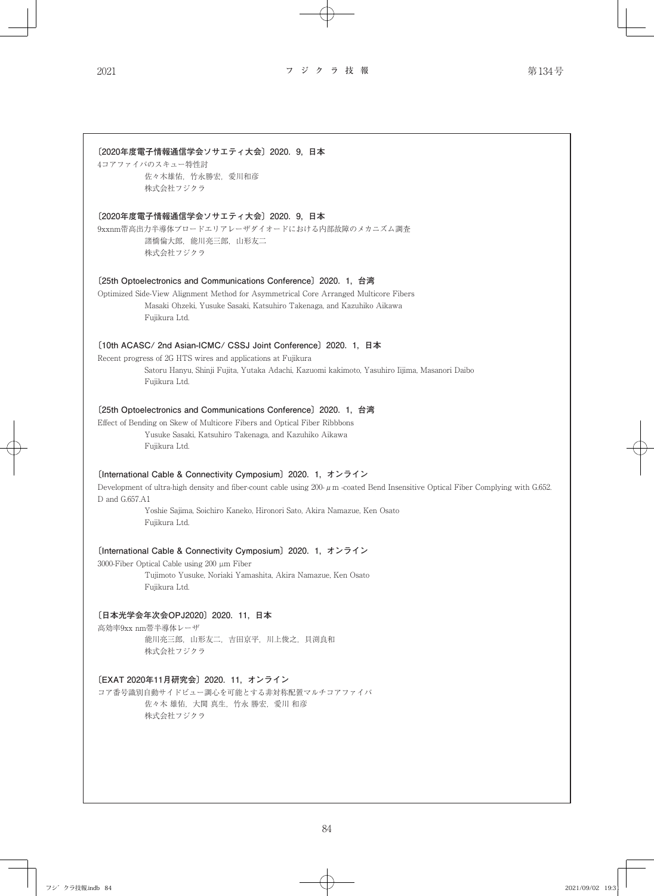**〔2020年度電子情報通信学会ソサエティ大会〕2020. 9, 日本** 4コアファイバのスキュー特性討 佐々木雄佑,竹永勝宏,愛川和彦 株式会社フジクラ **〔2020年度電子情報通信学会ソサエティ大会〕2020. 9, 日本** 9xxnm帯高出力半導体ブロードエリアレーザダイオードにおける内部故障のメカニズム調査 諸橋倫大郎,能川亮三郎,山形友二 株式会社フジクラ **〔25th Optoelectronics and Communications Conference〕2020. 1, 台湾** Optimized Side-View Alignment Method for Asymmetrical Core Arranged Multicore Fibers Masaki Ohzeki, Yusuke Sasaki, Katsuhiro Takenaga, and Kazuhiko Aikawa Fujikura Ltd. **〔10th ACASC/ 2nd Asian-ICMC/ CSSJ Joint Conference〕2020. 1, 日本** Recent progress of 2G HTS wires and applications at Fujikura Satoru Hanyu, Shinji Fujita, Yutaka Adachi, Kazuomi kakimoto, Yasuhiro Iijima, Masanori Daibo Fujikura Ltd. **〔25th Optoelectronics and Communications Conference〕2020. 1, 台湾** Effect of Bending on Skew of Multicore Fibers and Optical Fiber Ribbbons Yusuke Sasaki, Katsuhiro Takenaga, and Kazuhiko Aikawa Fujikura Ltd. **〔International Cable & Connectivity Cymposium〕2020. 1, オンライン** Development of ultra-high density and fiber-count cable using 200-μm -coated Bend Insensitive Optical Fiber Complying with G.652. D and G.657.A1 Yoshie Sajima, Soichiro Kaneko, Hironori Sato, Akira Namazue, Ken Osato Fujikura Ltd. **〔International Cable & Connectivity Cymposium〕2020. 1, オンライン** 3000-Fiber Optical Cable using 200 µm Fiber Tujimoto Yusuke, Noriaki Yamashita, Akira Namazue, Ken Osato Fujikura Ltd. **〔日本光学会年次会OPJ2020〕2020. 11, 日本** 高効率9xx nm帯半導体レーザ 能川亮三郎,山形友二,吉田京平,川上俊之,貝渕良和 株式会社フジクラ **〔EXAT 2020年11月研究会〕2020. 11, オンライン** コア番号識別自動サイドビュー調心を可能とする非対称配置マルチコアファイバ 佐々木 雄佑,大関 真生,竹永 勝宏,愛川 和彦 株式会社フジクラ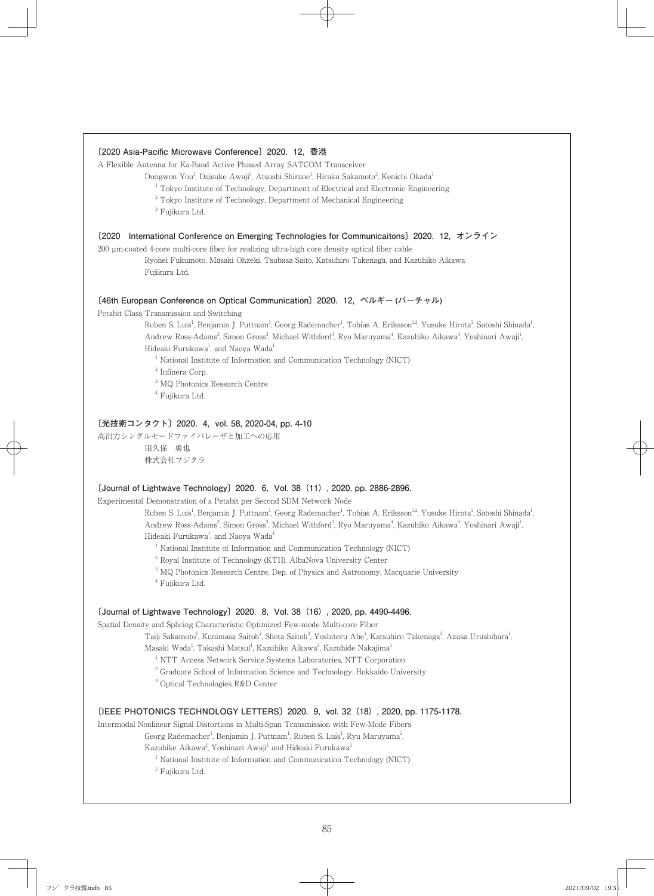## **〔2020 Asia-Pacific Microwave Conference〕2020. 12, 香港**

A Flexible Antenna for Ka-Band Active Phased Array SATCOM Transceiver

Dongwon You<sup>1</sup>, Daisuke Awaji<sup>3</sup>, Atsushi Shirane<sup>1</sup>, Hiraku Sakamoto<sup>2</sup>, Kenichi Okada<sup>1</sup>

- <sup>1</sup> Tokyo Institute of Technology, Department of Electrical and Electronic Engineering
- <sup>2</sup> Tokyo Institute of Technology, Department of Mechanical Engineering
- <sup>3</sup> Fujikura Ltd.

## **〔2020 International Conference on Emerging Technologies for Communicaitons〕2020. 12, オンライン**

200 µm-coated 4-core multi-core fiber for realizing ultra-high core density optical fiber cable

Ryohei Fukumoto, Masaki Ohzeki, Tsubasa Saito, Katsuhiro Takenaga, and Kazuhiko Aikawa Fujikura Ltd.

## **〔46th European Conference on Optical Communication〕2020. 12, ベルギー (バーチャル)**

Petabit Class Transmission and Switching

Ruben S. Luis<sup>1</sup>, Benjamin J. Puttnam<sup>1</sup>, Georg Rademacher<sup>1</sup>, Tobias A. Eriksson<sup>12</sup>, Yusuke Hirota<sup>1</sup>, Satoshi Shinada<sup>1</sup> , Andrew Ross-Adams<sup>3</sup>, Simon Gross<sup>3</sup>, Michael Withford<sup>3</sup>, Ryo Maruyama<sup>4</sup>, Kazuhiko Aikawa<sup>4</sup>, Yoshinari Awaji<sup>1</sup> , Hideaki Furukawa<sup>1</sup>, and Naoya Wada<sup>1</sup>

<sup>1</sup> National Institute of Information and Communication Technology (NICT)

2 Infinera Corp.

- 3 MQ Photonics Research Centre
- 4 Fujikura Ltd.

## **〔光技術コンタクト〕2020. 4, vol. 58, 2020-04, pp. 4-10**

高出力シングルモードファイバレーザと加工への応用 田久保 勇也 株式会社フジクラ

#### **〔Journal of Lightwave Technology〕2020. 6, Vol. 38(11), 2020, pp. 2886-2896.**

Experimental Demonstration of a Petabit per Second SDM Network Node

Ruben S. Luis<sup>1</sup>, Benjamin J. Puttnam<sup>1</sup>, Georg Rademacher<sup>1</sup>, Tobias A. Eriksson<sup>12</sup>, Yusuke Hirota<sup>1</sup>, Satoshi Shinada<sup>1</sup> , Andrew Ross-Adams<sup>3</sup>, Simon Gross<sup>3</sup>, Michael Withford<sup>3</sup>, Ryo Maruyama<sup>4</sup>, Kazuhiko Aikawa<sup>4</sup>, Yoshinari Awaji<sup>1</sup>, Hideaki Furukawa<sup>1</sup>, and Naoya Wada<sup>1</sup>

<sup>1</sup> National Institute of Information and Communication Technology (NICT)

<sup>2</sup> Royal Institute of Technology (KTH), AlbaNova University Center

<sup>3</sup> MQ Photonics Research Centre, Dep. of Physics and Astronomy, Macquarie University

4 Fujikura Ltd.

## **〔Journal of Lightwave Technology〕2020. 8, Vol. 38(16), 2020, pp. 4490-4496.**

Spatial Density and Splicing Characteristic Optimized Few-mode Multi-core Fiber

Taiji Sakamoto<sup>1</sup>, Kunimasa Saitoh<sup>2</sup>, Shota Saitoh<sup>3</sup>, Yoshiteru Abe<sup>1</sup>, Katsuhiro Takenaga<sup>3</sup>, Azusa Urushibara<sup>1</sup> ,

Masaki Wada<sup>1</sup>, Takashi Matsui<sup>1</sup>, Kazuhiko Aikawa<sup>3</sup>, Kazuhide Nakajima<sup>1</sup>

<sup>1</sup> NTT Access Network Service Systems Laboratories, NTT Corporation

<sup>2</sup> Graduate School of Information Science and Technology, Hokkaido University

3 Optical Technologies R&D Center

## **〔IEEE PHOTONICS TECHNOLOGY LETTERS〕2020. 9, vol. 32(18), 2020, pp. 1175-1178.**

Intermodal Nonlinear Signal Distortions in Multi-Span Transmission with Few-Mode Fibers

Georg Rademacher<sup>1</sup>, Benjamin J. Puttnam<sup>1</sup>, Ruben S. Luis<sup>1</sup>, Ryu Maruyama<sup>2</sup> ,

Kazuhike Aikawa<sup>2</sup>, Yoshinari Awaji<sup>1</sup> and Hideaki Furukawa<sup>1</sup>

<sup>1</sup> National Institute of Information and Communication Technology (NICT)

<sup>2</sup> Fujikura Ltd.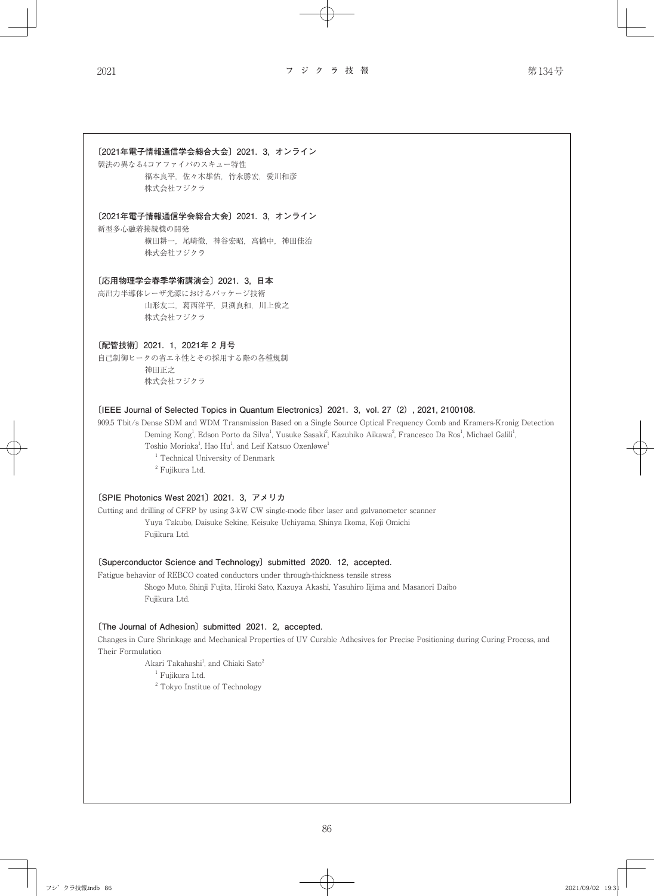# **〔2021年電子情報通信学会総合大会〕2021. 3, オンライン**

製法の異なる4コアファイバのスキュー特性 福本良平,佐々木雄佑,竹永勝宏,愛川和彦 株式会社フジクラ

## **〔2021年電子情報通信学会総合大会〕2021. 3, オンライン**

新型多心融着接続機の開発 横田耕一,尾崎徹,神谷宏昭,高橋中,神田佳治 株式会社フジクラ

## **〔応用物理学会春季学術講演会〕2021. 3, 日本**

高出力半導体レーザ光源におけるパッケージ技術 山形友二,葛西洋平,貝渕良和,川上俊之 株式会社フジクラ

## **〔配管技術〕2021. 1, 2021年 2 月号**

自己制御ヒータの省エネ性とその採用する際の各種規制 神田正之 株式会社フジクラ

# **〔IEEE Journal of Selected Topics in Quantum Electronics〕2021. 3, vol. 27(2), 2021, 2100108.**

909.5 Tbit/s Dense SDM and WDM Transmission Based on a Single Source Optical Frequency Comb and Kramers-Kronig Detection Deming Kong<sup>1</sup>, Edson Porto da Silva<sup>1</sup>, Yusuke Sasaki<sup>2</sup>, Kazuhiko Aikawa<sup>2</sup>, Francesco Da Ros<sup>1</sup>, Michael Galili<sup>1</sup> , Toshio Morioka<sup>1</sup>, Hao Hu<sup>1</sup>, and Leif Katsuo Oxenløwe<sup>1</sup>

<sup>1</sup> Technical University of Denmark <sup>2</sup> Fujikura Ltd.

## **〔SPIE Photonics West 2021〕2021. 3, アメリカ**

Cutting and drilling of CFRP by using 3-kW CW single-mode fiber laser and galvanometer scanner Yuya Takubo, Daisuke Sekine, Keisuke Uchiyama, Shinya Ikoma, Koji Omichi Fujikura Ltd.

## **〔Superconductor Science and Technology〕submitted 2020. 12, accepted.**

Fatigue behavior of REBCO coated conductors under through-thickness tensile stress Shogo Muto, Shinji Fujita, Hiroki Sato, Kazuya Akashi, Yasuhiro Iijima and Masanori Daibo Fujikura Ltd.

# **〔The Journal of Adhesion〕submitted 2021. 2, accepted.**

Changes in Cure Shrinkage and Mechanical Properties of UV Curable Adhesives for Precise Positioning during Curing Process, and Their Formulation

Akari Takahashi<sup>1</sup>, and Chiaki Sato<sup>2</sup>

<sup>1</sup> Fujikura Ltd.

<sup>2</sup> Tokyo Institue of Technology